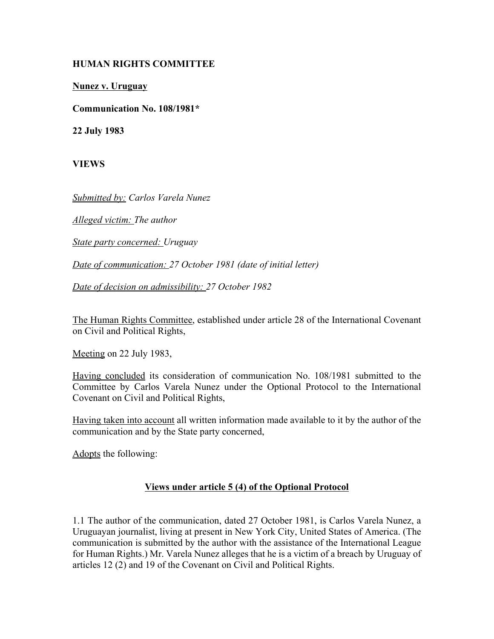## **HUMAN RIGHTS COMMITTEE**

**Nunez v. Uruguay**

**Communication No. 108/1981\***

**22 July 1983**

**VIEWS**

*Submitted by: Carlos Varela Nunez* 

*Alleged victim: The author* 

*State party concerned: Uruguay* 

*Date of communication: 27 October 1981 (date of initial letter)* 

*Date of decision on admissibility: 27 October 1982* 

The Human Rights Committee, established under article 28 of the International Covenant on Civil and Political Rights,

Meeting on 22 July 1983,

Having concluded its consideration of communication No. 108/1981 submitted to the Committee by Carlos Varela Nunez under the Optional Protocol to the International Covenant on Civil and Political Rights,

Having taken into account all written information made available to it by the author of the communication and by the State party concerned,

Adopts the following:

## **Views under article 5 (4) of the Optional Protocol**

1.1 The author of the communication, dated 27 October 1981, is Carlos Varela Nunez, a Uruguayan journalist, living at present in New York City, United States of America. (The communication is submitted by the author with the assistance of the International League for Human Rights.) Mr. Varela Nunez alleges that he is a victim of a breach by Uruguay of articles 12 (2) and 19 of the Covenant on Civil and Political Rights.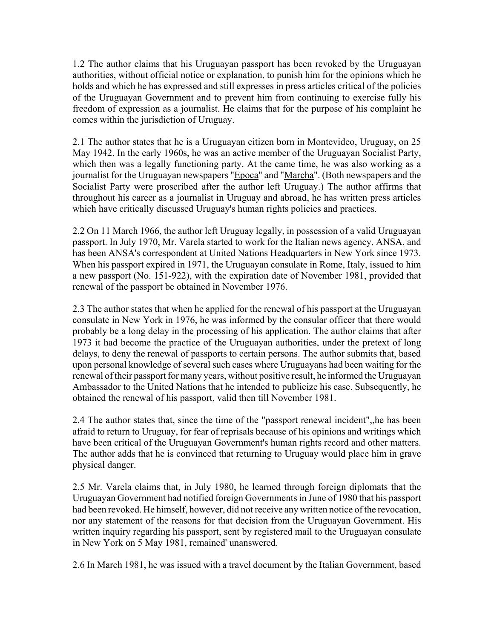1.2 The author claims that his Uruguayan passport has been revoked by the Uruguayan authorities, without official notice or explanation, to punish him for the opinions which he holds and which he has expressed and still expresses in press articles critical of the policies of the Uruguayan Government and to prevent him from continuing to exercise fully his freedom of expression as a journalist. He claims that for the purpose of his complaint he comes within the jurisdiction of Uruguay.

2.1 The author states that he is a Uruguayan citizen born in Montevideo, Uruguay, on 25 May 1942. In the early 1960s, he was an active member of the Uruguayan Socialist Party, which then was a legally functioning party. At the came time, he was also working as a journalist for the Uruguayan newspapers "Epoca" and "Marcha". (Both newspapers and the Socialist Party were proscribed after the author left Uruguay.) The author affirms that throughout his career as a journalist in Uruguay and abroad, he has written press articles which have critically discussed Uruguay's human rights policies and practices.

2.2 On 11 March 1966, the author left Uruguay legally, in possession of a valid Uruguayan passport. In July 1970, Mr. Varela started to work for the Italian news agency, ANSA, and has been ANSA's correspondent at United Nations Headquarters in New York since 1973. When his passport expired in 1971, the Uruguayan consulate in Rome, Italy, issued to him a new passport (No. 151-922), with the expiration date of November 1981, provided that renewal of the passport be obtained in November 1976.

2.3 The author states that when he applied for the renewal of his passport at the Uruguayan consulate in New York in 1976, he was informed by the consular officer that there would probably be a long delay in the processing of his application. The author claims that after 1973 it had become the practice of the Uruguayan authorities, under the pretext of long delays, to deny the renewal of passports to certain persons. The author submits that, based upon personal knowledge of several such cases where Uruguayans had been waiting for the renewal of their passport for many years, without positive result, he informed the Uruguayan Ambassador to the United Nations that he intended to publicize his case. Subsequently, he obtained the renewal of his passport, valid then till November 1981.

2.4 The author states that, since the time of the "passport renewal incident",,he has been afraid to return to Uruguay, for fear of reprisals because of his opinions and writings which have been critical of the Uruguayan Government's human rights record and other matters. The author adds that he is convinced that returning to Uruguay would place him in grave physical danger.

2.5 Mr. Varela claims that, in July 1980, he learned through foreign diplomats that the Uruguayan Government had notified foreign Governments in June of 1980 that his passport had been revoked. He himself, however, did not receive any written notice of the revocation, nor any statement of the reasons for that decision from the Uruguayan Government. His written inquiry regarding his passport, sent by registered mail to the Uruguayan consulate in New York on 5 May 1981, remained' unanswered.

2.6 In March 1981, he was issued with a travel document by the Italian Government, based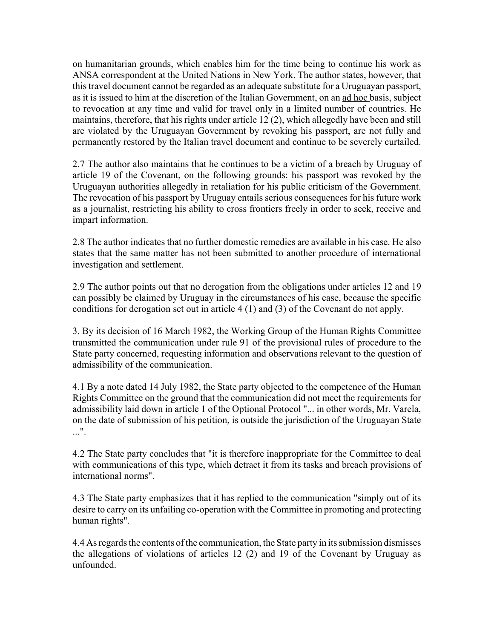on humanitarian grounds, which enables him for the time being to continue his work as ANSA correspondent at the United Nations in New York. The author states, however, that this travel document cannot be regarded as an adequate substitute for a Uruguayan passport, as it is issued to him at the discretion of the Italian Government, on an ad hoc basis, subject to revocation at any time and valid for travel only in a limited number of countries. He maintains, therefore, that his rights under article 12 (2), which allegedly have been and still are violated by the Uruguayan Government by revoking his passport, are not fully and permanently restored by the Italian travel document and continue to be severely curtailed.

2.7 The author also maintains that he continues to be a victim of a breach by Uruguay of article 19 of the Covenant, on the following grounds: his passport was revoked by the Uruguayan authorities allegedly in retaliation for his public criticism of the Government. The revocation of his passport by Uruguay entails serious consequences for his future work as a journalist, restricting his ability to cross frontiers freely in order to seek, receive and impart information.

2.8 The author indicates that no further domestic remedies are available in his case. He also states that the same matter has not been submitted to another procedure of international investigation and settlement.

2.9 The author points out that no derogation from the obligations under articles 12 and 19 can possibly be claimed by Uruguay in the circumstances of his case, because the specific conditions for derogation set out in article 4 (1) and (3) of the Covenant do not apply.

3. By its decision of 16 March 1982, the Working Group of the Human Rights Committee transmitted the communication under rule 91 of the provisional rules of procedure to the State party concerned, requesting information and observations relevant to the question of admissibility of the communication.

4.1 By a note dated 14 July 1982, the State party objected to the competence of the Human Rights Committee on the ground that the communication did not meet the requirements for admissibility laid down in article 1 of the Optional Protocol "... in other words, Mr. Varela, on the date of submission of his petition, is outside the jurisdiction of the Uruguayan State  $\mathbf{r}$ .

4.2 The State party concludes that "it is therefore inappropriate for the Committee to deal with communications of this type, which detract it from its tasks and breach provisions of international norms".

4.3 The State party emphasizes that it has replied to the communication "simply out of its desire to carry on its unfailing co-operation with the Committee in promoting and protecting human rights".

4.4 As regards the contents of the communication, the State party in its submission dismisses the allegations of violations of articles 12 (2) and 19 of the Covenant by Uruguay as unfounded.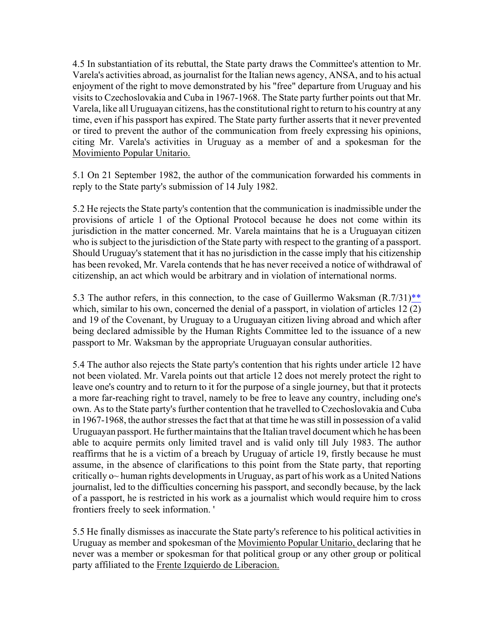4.5 In substantiation of its rebuttal, the State party draws the Committee's attention to Mr. Varela's activities abroad, as journalist for the Italian news agency, ANSA, and to his actual enjoyment of the right to move demonstrated by his "free" departure from Uruguay and his visits to Czechoslovakia and Cuba in 1967-1968. The State party further points out that Mr. Varela, like all Uruguayan citizens, has the constitutional right to return to his country at any time, even if his passport has expired. The State party further asserts that it never prevented or tired to prevent the author of the communication from freely expressing his opinions, citing Mr. Varela's activities in Uruguay as a member of and a spokesman for the Movimiento Popular Unitario.

5.1 On 21 September 1982, the author of the communication forwarded his comments in reply to the State party's submission of 14 July 1982.

5.2 He rejects the State party's contention that the communication is inadmissible under the provisions of article 1 of the Optional Protocol because he does not come within its jurisdiction in the matter concerned. Mr. Varela maintains that he is a Uruguayan citizen who is subject to the jurisdiction of the State party with respect to the granting of a passport. Should Uruguay's statement that it has no jurisdiction in the casse imply that his citizenship has been revoked, Mr. Varela contends that he has never received a notice of withdrawal of citizenship, an act which would be arbitrary and in violation of international norms.

5.3 The author refers, in this connection, to the case of Guillermo Waksman (R.7/31)\*\* which, similar to his own, concerned the denial of a passport, in violation of articles 12 (2) and 19 of the Covenant, by Uruguay to a Uruguayan citizen living abroad and which after being declared admissible by the Human Rights Committee led to the issuance of a new passport to Mr. Waksman by the appropriate Uruguayan consular authorities.

5.4 The author also rejects the State party's contention that his rights under article 12 have not been violated. Mr. Varela points out that article 12 does not merely protect the right to leave one's country and to return to it for the purpose of a single journey, but that it protects a more far-reaching right to travel, namely to be free to leave any country, including one's own. As to the State party's further contention that he travelled to Czechoslovakia and Cuba in 1967-1968, the author stresses the fact that at that time he was still in possession of a valid Uruguayan passport. He further maintains that the Italian travel document which he has been able to acquire permits only limited travel and is valid only till July 1983. The author reaffirms that he is a victim of a breach by Uruguay of article 19, firstly because he must assume, in the absence of clarifications to this point from the State party, that reporting critically o~ human rights developments in Uruguay, as part of his work as a United Nations journalist, led to the difficulties concerning his passport, and secondly because, by the lack of a passport, he is restricted in his work as a journalist which would require him to cross frontiers freely to seek information. '

5.5 He finally dismisses as inaccurate the State party's reference to his political activities in Uruguay as member and spokesman of the Movimiento Popular Unitario, declaring that he never was a member or spokesman for that political group or any other group or political party affiliated to the Frente Izquierdo de Liberacion.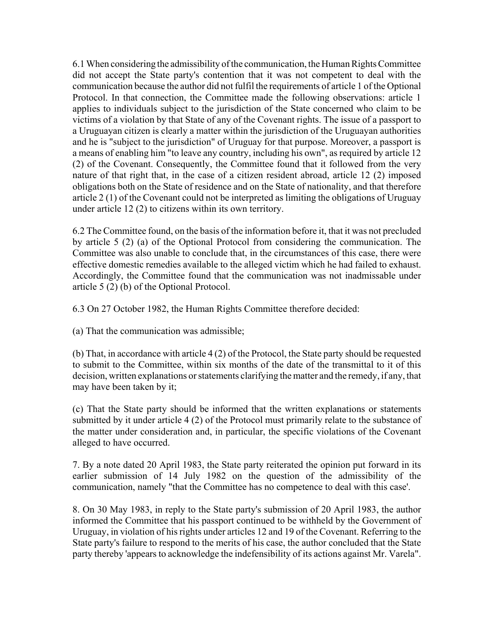6.1 When considering the admissibility of the communication, the Human Rights Committee did not accept the State party's contention that it was not competent to deal with the communication because the author did not fulfil the requirements of article 1 of the Optional Protocol. In that connection, the Committee made the following observations: article 1 applies to individuals subject to the jurisdiction of the State concerned who claim to be victims of a violation by that State of any of the Covenant rights. The issue of a passport to a Uruguayan citizen is clearly a matter within the jurisdiction of the Uruguayan authorities and he is "subject to the jurisdiction" of Uruguay for that purpose. Moreover, a passport is a means of enabling him "to leave any country, including his own", as required by article 12 (2) of the Covenant. Consequently, the Committee found that it followed from the very nature of that right that, in the case of a citizen resident abroad, article 12 (2) imposed obligations both on the State of residence and on the State of nationality, and that therefore article 2 (1) of the Covenant could not be interpreted as limiting the obligations of Uruguay under article 12 (2) to citizens within its own territory.

6.2 The Committee found, on the basis of the information before it, that it was not precluded by article 5 (2) (a) of the Optional Protocol from considering the communication. The Committee was also unable to conclude that, in the circumstances of this case, there were effective domestic remedies available to the alleged victim which he had failed to exhaust. Accordingly, the Committee found that the communication was not inadmissable under article 5 (2) (b) of the Optional Protocol.

6.3 On 27 October 1982, the Human Rights Committee therefore decided:

(a) That the communication was admissible;

(b) That, in accordance with article 4 (2) of the Protocol, the State party should be requested to submit to the Committee, within six months of the date of the transmittal to it of this decision, written explanations or statements clarifying the matter and the remedy, if any, that may have been taken by it;

(c) That the State party should be informed that the written explanations or statements submitted by it under article 4 (2) of the Protocol must primarily relate to the substance of the matter under consideration and, in particular, the specific violations of the Covenant alleged to have occurred.

7. By a note dated 20 April 1983, the State party reiterated the opinion put forward in its earlier submission of 14 July 1982 on the question of the admissibility of the communication, namely "that the Committee has no competence to deal with this case'.

8. On 30 May 1983, in reply to the State party's submission of 20 April 1983, the author informed the Committee that his passport continued to be withheld by the Government of Uruguay, in violation of his rights under articles 12 and 19 of the Covenant. Referring to the State party's failure to respond to the merits of his case, the author concluded that the State party thereby 'appears to acknowledge the indefensibility of its actions against Mr. Varela".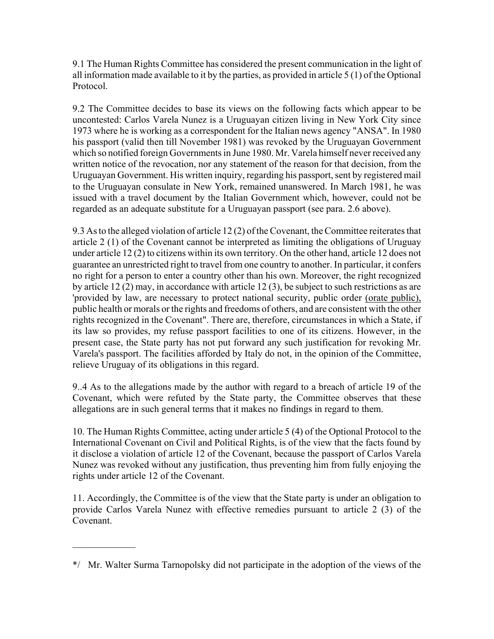9.1 The Human Rights Committee has considered the present communication in the light of all information made available to it by the parties, as provided in article 5 (1) of the Optional Protocol.

9.2 The Committee decides to base its views on the following facts which appear to be uncontested: Carlos Varela Nunez is a Uruguayan citizen living in New York City since 1973 where he is working as a correspondent for the Italian news agency "ANSA". In 1980 his passport (valid then till November 1981) was revoked by the Uruguayan Government which so notified foreign Governments in June 1980. Mr. Varela himself never received any written notice of the revocation, nor any statement of the reason for that decision, from the Uruguayan Government. His written inquiry, regarding his passport, sent by registered mail to the Uruguayan consulate in New York, remained unanswered. In March 1981, he was issued with a travel document by the Italian Government which, however, could not be regarded as an adequate substitute for a Uruguayan passport (see para. 2.6 above).

9.3 As to the alleged violation of article 12 (2) of the Covenant, the Committee reiterates that article 2 (1) of the Covenant cannot be interpreted as limiting the obligations of Uruguay under article 12 (2) to citizens within its own territory. On the other hand, article 12 does not guarantee an unrestricted right to travel from one country to another. In particular, it confers no right for a person to enter a country other than his own. Moreover, the right recognized by article 12 (2) may, in accordance with article 12 (3), be subject to such restrictions as are 'provided by law, are necessary to protect national security, public order (orate public), public health or morals or the rights and freedoms of others, and are consistent with the other rights recognized in the Covenant". There are, therefore, circumstances in which a State, if its law so provides, my refuse passport facilities to one of its citizens. However, in the present case, the State party has not put forward any such justification for revoking Mr. Varela's passport. The facilities afforded by Italy do not, in the opinion of the Committee, relieve Uruguay of its obligations in this regard.

9..4 As to the allegations made by the author with regard to a breach of article 19 of the Covenant, which were refuted by the State party, the Committee observes that these allegations are in such general terms that it makes no findings in regard to them.

10. The Human Rights Committee, acting under article 5 (4) of the Optional Protocol to the International Covenant on Civil and Political Rights, is of the view that the facts found by it disclose a violation of article 12 of the Covenant, because the passport of Carlos Varela Nunez was revoked without any justification, thus preventing him from fully enjoying the rights under article 12 of the Covenant.

11. Accordingly, the Committee is of the view that the State party is under an obligation to provide Carlos Varela Nunez with effective remedies pursuant to article 2 (3) of the Covenant.

 $\mathcal{L}_\text{max}$ 

<sup>\*/</sup> Mr. Walter Surma Tarnopolsky did not participate in the adoption of the views of the